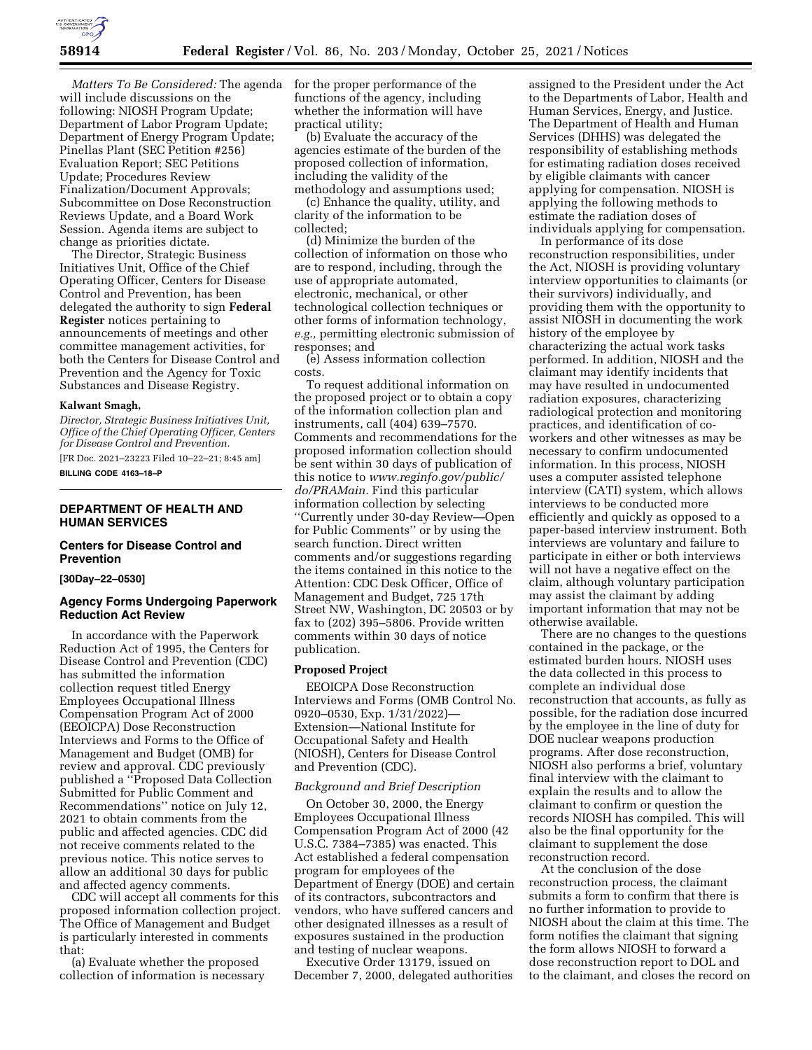

*Matters To Be Considered:* The agenda will include discussions on the following: NIOSH Program Update; Department of Labor Program Update; Department of Energy Program Update; Pinellas Plant (SEC Petition #256) Evaluation Report; SEC Petitions Update; Procedures Review Finalization/Document Approvals; Subcommittee on Dose Reconstruction Reviews Update, and a Board Work Session. Agenda items are subject to change as priorities dictate.

The Director, Strategic Business Initiatives Unit, Office of the Chief Operating Officer, Centers for Disease Control and Prevention, has been delegated the authority to sign **Federal Register** notices pertaining to announcements of meetings and other committee management activities, for both the Centers for Disease Control and Prevention and the Agency for Toxic Substances and Disease Registry.

### **Kalwant Smagh,**

*Director, Strategic Business Initiatives Unit, Office of the Chief Operating Officer, Centers for Disease Control and Prevention.* 

[FR Doc. 2021–23223 Filed 10–22–21; 8:45 am] **BILLING CODE 4163–18–P** 

# **DEPARTMENT OF HEALTH AND HUMAN SERVICES**

# **Centers for Disease Control and Prevention**

### **[30Day–22–0530]**

# **Agency Forms Undergoing Paperwork Reduction Act Review**

In accordance with the Paperwork Reduction Act of 1995, the Centers for Disease Control and Prevention (CDC) has submitted the information collection request titled Energy Employees Occupational Illness Compensation Program Act of 2000 (EEOICPA) Dose Reconstruction Interviews and Forms to the Office of Management and Budget (OMB) for review and approval. CDC previously published a ''Proposed Data Collection Submitted for Public Comment and Recommendations'' notice on July 12, 2021 to obtain comments from the public and affected agencies. CDC did not receive comments related to the previous notice. This notice serves to allow an additional 30 days for public and affected agency comments.

CDC will accept all comments for this proposed information collection project. The Office of Management and Budget is particularly interested in comments that:

(a) Evaluate whether the proposed collection of information is necessary for the proper performance of the functions of the agency, including whether the information will have practical utility;

(b) Evaluate the accuracy of the agencies estimate of the burden of the proposed collection of information, including the validity of the methodology and assumptions used;

(c) Enhance the quality, utility, and clarity of the information to be collected;

(d) Minimize the burden of the collection of information on those who are to respond, including, through the use of appropriate automated, electronic, mechanical, or other technological collection techniques or other forms of information technology, *e.g.,* permitting electronic submission of responses; and

(e) Assess information collection costs.

To request additional information on the proposed project or to obtain a copy of the information collection plan and instruments, call (404) 639–7570. Comments and recommendations for the proposed information collection should be sent within 30 days of publication of this notice to *[www.reginfo.gov/public/](http://www.reginfo.gov/public/do/PRAMain) [do/PRAMain.](http://www.reginfo.gov/public/do/PRAMain)* Find this particular information collection by selecting ''Currently under 30-day Review—Open for Public Comments'' or by using the search function. Direct written comments and/or suggestions regarding the items contained in this notice to the Attention: CDC Desk Officer, Office of Management and Budget, 725 17th Street NW, Washington, DC 20503 or by fax to (202) 395–5806. Provide written comments within 30 days of notice publication.

### **Proposed Project**

EEOICPA Dose Reconstruction Interviews and Forms (OMB Control No. 0920–0530, Exp. 1/31/2022)— Extension—National Institute for Occupational Safety and Health (NIOSH), Centers for Disease Control and Prevention (CDC).

#### *Background and Brief Description*

On October 30, 2000, the Energy Employees Occupational Illness Compensation Program Act of 2000 (42 U.S.C. 7384–7385) was enacted. This Act established a federal compensation program for employees of the Department of Energy (DOE) and certain of its contractors, subcontractors and vendors, who have suffered cancers and other designated illnesses as a result of exposures sustained in the production and testing of nuclear weapons.

Executive Order 13179, issued on December 7, 2000, delegated authorities

assigned to the President under the Act to the Departments of Labor, Health and Human Services, Energy, and Justice. The Department of Health and Human Services (DHHS) was delegated the responsibility of establishing methods for estimating radiation doses received by eligible claimants with cancer applying for compensation. NIOSH is applying the following methods to estimate the radiation doses of individuals applying for compensation.

In performance of its dose reconstruction responsibilities, under the Act, NIOSH is providing voluntary interview opportunities to claimants (or their survivors) individually, and providing them with the opportunity to assist NIOSH in documenting the work history of the employee by characterizing the actual work tasks performed. In addition, NIOSH and the claimant may identify incidents that may have resulted in undocumented radiation exposures, characterizing radiological protection and monitoring practices, and identification of coworkers and other witnesses as may be necessary to confirm undocumented information. In this process, NIOSH uses a computer assisted telephone interview (CATI) system, which allows interviews to be conducted more efficiently and quickly as opposed to a paper-based interview instrument. Both interviews are voluntary and failure to participate in either or both interviews will not have a negative effect on the claim, although voluntary participation may assist the claimant by adding important information that may not be otherwise available.

There are no changes to the questions contained in the package, or the estimated burden hours. NIOSH uses the data collected in this process to complete an individual dose reconstruction that accounts, as fully as possible, for the radiation dose incurred by the employee in the line of duty for DOE nuclear weapons production programs. After dose reconstruction, NIOSH also performs a brief, voluntary final interview with the claimant to explain the results and to allow the claimant to confirm or question the records NIOSH has compiled. This will also be the final opportunity for the claimant to supplement the dose reconstruction record.

At the conclusion of the dose reconstruction process, the claimant submits a form to confirm that there is no further information to provide to NIOSH about the claim at this time. The form notifies the claimant that signing the form allows NIOSH to forward a dose reconstruction report to DOL and to the claimant, and closes the record on